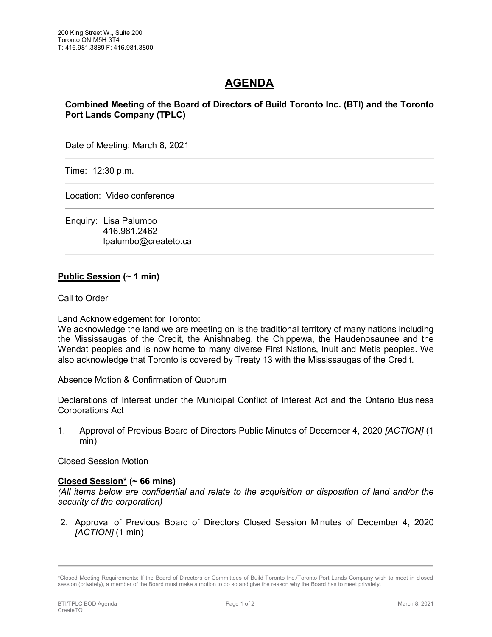## **AGENDA**

**Combined Meeting of the Board of Directors of Build Toronto Inc. (BTI) and the Toronto Port Lands Company (TPLC)**

Date of Meeting: March 8, 2021

Time: 12:30 p.m.

Location: Video conference

Enquiry: Lisa Palumbo 416.981.2462 lpalumbo@createto.ca

## **Public Session (~ 1 min)**

Call to Order

Land Acknowledgement for Toronto:

We acknowledge the land we are meeting on is the traditional territory of many nations including the Mississaugas of the Credit, the Anishnabeg, the Chippewa, the Haudenosaunee and the Wendat peoples and is now home to many diverse First Nations, Inuit and Metis peoples. We also acknowledge that Toronto is covered by Treaty 13 with the Mississaugas of the Credit.

Absence Motion & Confirmation of Quorum

Declarations of Interest under the Municipal Conflict of Interest Act and the Ontario Business Corporations Act

1. Approval of Previous Board of Directors Public Minutes of December 4, 2020 *[ACTION]* (1 min)

Closed Session Motion

## **Closed Session\* (~ 66 mins)**

*(All items below are confidential and relate to the acquisition or disposition of land and/or the security of the corporation)*

2. Approval of Previous Board of Directors Closed Session Minutes of December 4, 2020 *[ACTION]* (1 min)

<sup>\*</sup>Closed Meeting Requirements: If the Board of Directors or Committees of Build Toronto Inc./Toronto Port Lands Company wish to meet in closed session (privately), a member of the Board must make a motion to do so and give the reason why the Board has to meet privately.